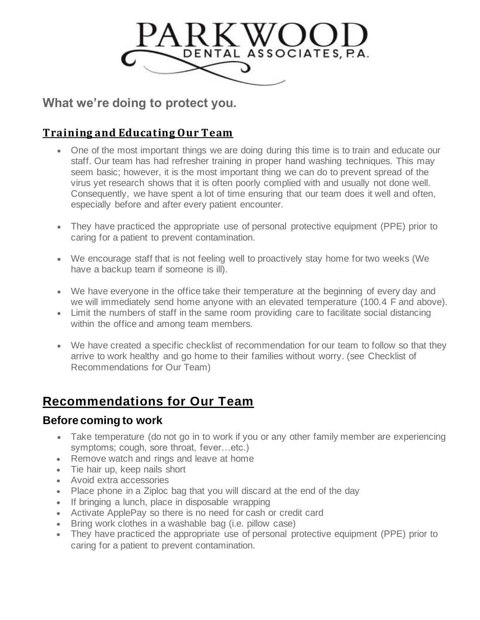

**What we're doing to protect you.**

### **Training and Educating Our Team**

- One of the most important things we are doing during this time is to train and educate our staff. Our team has had refresher training in proper hand washing techniques. This may seem basic; however, it is the most important thing we can do to prevent spread of the virus yet research shows that it is often poorly complied with and usually not done well. Consequently, we have spent a lot of time ensuring that our team does it well and often, especially before and after every patient encounter.
- They have practiced the appropriate use of personal protective equipment (PPE) prior to caring for a patient to prevent contamination.
- We encourage staff that is not feeling well to proactively stay home for two weeks (We have a backup team if someone is ill).
- We have everyone in the office take their temperature at the beginning of every day and we will immediately send home anyone with an elevated temperature (100.4 F and above).
- Limit the numbers of staff in the same room providing care to facilitate social distancing within the office and among team members.
- We have created a specific checklist of recommendation for our team to follow so that they arrive to work healthy and go home to their families without worry. (see Checklist of Recommendations for Our Team)

# **Recommendations for Our Team**

#### **Before coming to work**

- Take temperature (do not go in to work if you or any other family member are experiencing symptoms; cough, sore throat, fever…etc.)
- Remove watch and rings and leave at home
- Tie hair up, keep nails short
- Avoid extra accessories
- Place phone in a Ziploc bag that you will discard at the end of the day
- If bringing a lunch, place in disposable wrapping
- Activate ApplePay so there is no need for cash or credit card
- Bring work clothes in a washable bag (i.e. pillow case)
- They have practiced the appropriate use of personal protective equipment (PPE) prior to caring for a patient to prevent contamination.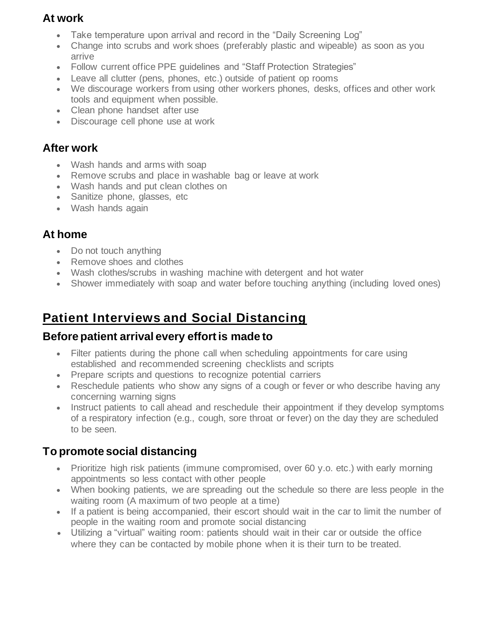### **At work**

- Take temperature upon arrival and record in the "Daily Screening Log"
- Change into scrubs and work shoes (preferably plastic and wipeable) as soon as you arrive
- Follow current office PPE guidelines and "Staff Protection Strategies"
- Leave all clutter (pens, phones, etc.) outside of patient op rooms
- We discourage workers from using other workers phones, desks, offices and other work tools and equipment when possible.
- Clean phone handset after use
- Discourage cell phone use at work

#### **After work**

- Wash hands and arms with soap
- Remove scrubs and place in washable bag or leave at work
- Wash hands and put clean clothes on
- Sanitize phone, glasses, etc
- Wash hands again

#### **At home**

- Do not touch anything
- Remove shoes and clothes
- Wash clothes/scrubs in washing machine with detergent and hot water
- Shower immediately with soap and water before touching anything (including loved ones)

# **Patient Interviews and Social Distancing**

#### **Before patient arrival every effort is made to**

- Filter patients during the phone call when scheduling appointments for care using established and recommended screening checklists and scripts
- Prepare scripts and questions to recognize potential carriers
- Reschedule patients who show any signs of a cough or fever or who describe having any concerning warning signs
- Instruct patients to call ahead and reschedule their appointment if they develop symptoms of a respiratory infection (e.g., cough, sore throat or fever) on the day they are scheduled to be seen.

### **To promote social distancing**

- Prioritize high risk patients (immune compromised, over 60 y.o. etc.) with early morning appointments so less contact with other people
- When booking patients, we are spreading out the schedule so there are less people in the waiting room (A maximum of two people at a time)
- If a patient is being accompanied, their escort should wait in the car to limit the number of people in the waiting room and promote social distancing
- Utilizing a "virtual" waiting room: patients should wait in their car or outside the office where they can be contacted by mobile phone when it is their turn to be treated.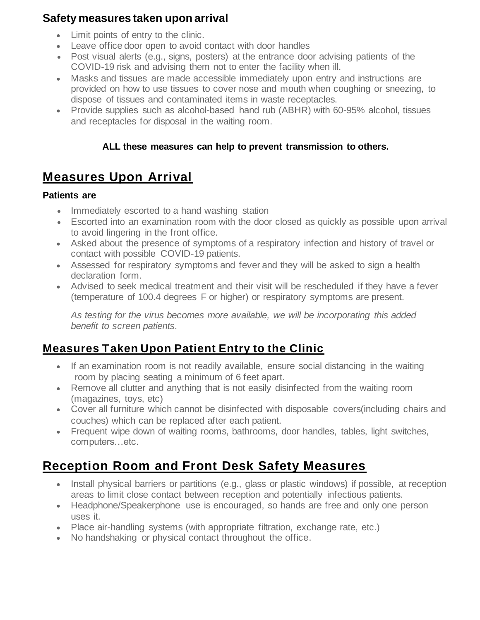#### **Safety measures taken upon arrival**

- Limit points of entry to the clinic.
- Leave office door open to avoid contact with door handles
- Post visual alerts (e.g., signs, posters) at the entrance door advising patients of the COVID-19 risk and advising them not to enter the facility when ill.
- Masks and tissues are made accessible immediately upon entry and instructions are provided on how to use tissues to cover nose and mouth when coughing or sneezing, to dispose of tissues and contaminated items in waste receptacles.
- Provide supplies such as alcohol-based hand rub (ABHR) with 60-95% alcohol, tissues and receptacles for disposal in the waiting room.

#### **ALL these measures can help to prevent transmission to others.**

# **Measures Upon Arrival**

#### **Patients are**

- Immediately escorted to a hand washing station
- Escorted into an examination room with the door closed as quickly as possible upon arrival to avoid lingering in the front office.
- Asked about the presence of symptoms of a respiratory infection and history of travel or contact with possible COVID-19 patients.
- Assessed for respiratory symptoms and fever and they will be asked to sign a health declaration form.
- Advised to seek medical treatment and their visit will be rescheduled if they have a fever (temperature of 100.4 degrees F or higher) or respiratory symptoms are present.

*As testing for the virus becomes more available, we will be incorporating this added benefit to screen patients.*

# **Measures Taken Upon Patient Entry to the Clinic**

- If an examination room is not readily available, ensure social distancing in the waiting room by placing seating a minimum of 6 feet apart.
- Remove all clutter and anything that is not easily disinfected from the waiting room (magazines, toys, etc)
- Cover all furniture which cannot be disinfected with disposable covers(including chairs and couches) which can be replaced after each patient.
- Frequent wipe down of waiting rooms, bathrooms, door handles, tables, light switches, computers…etc.

# **Reception Room and Front Desk Safety Measures**

- Install physical barriers or partitions (e.g., glass or plastic windows) if possible, at reception areas to limit close contact between reception and potentially infectious patients.
- Headphone/Speakerphone use is encouraged, so hands are free and only one person uses it.
- Place air-handling systems (with appropriate filtration, exchange rate, etc.)
- No handshaking or physical contact throughout the office.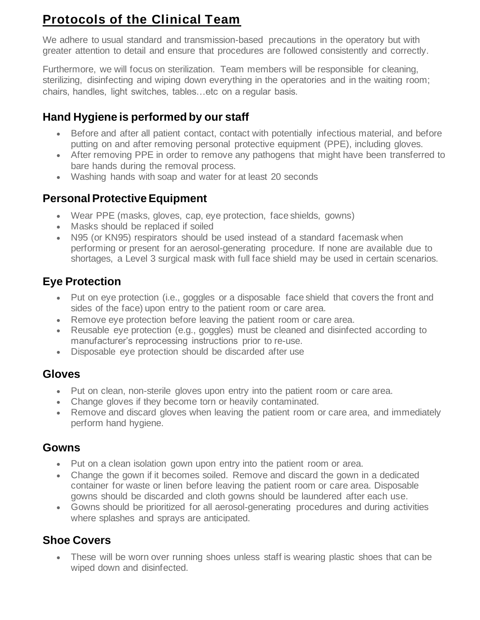# **Protocols of the Clinical Team**

We adhere to usual standard and transmission-based precautions in the operatory but with greater attention to detail and ensure that procedures are followed consistently and correctly.

Furthermore, we will focus on sterilization. Team members will be responsible for cleaning, sterilizing, disinfecting and wiping down everything in the operatories and in the waiting room; chairs, handles, light switches, tables…etc on a regular basis.

## **Hand Hygiene is performed by our staff**

- Before and after all patient contact, contact with potentially infectious material, and before putting on and after removing personal protective equipment (PPE), including gloves.
- After removing PPE in order to remove any pathogens that might have been transferred to bare hands during the removal process.
- Washing hands with soap and water for at least 20 seconds

## **Personal Protective Equipment**

- Wear PPE (masks, gloves, cap, eye protection, face shields, gowns)
- Masks should be replaced if soiled
- N95 (or KN95) respirators should be used instead of a standard facemask when performing or present for an aerosol-generating procedure. If none are available due to shortages, a Level 3 surgical mask with full face shield may be used in certain scenarios.

# **Eye Protection**

- Put on eye protection (i.e., goggles or a disposable face shield that covers the front and sides of the face) upon entry to the patient room or care area.
- Remove eye protection before leaving the patient room or care area.
- Reusable eye protection (e.g., goggles) must be cleaned and disinfected according to manufacturer's reprocessing instructions prior to re-use.
- Disposable eye protection should be discarded after use

## **Gloves**

- Put on clean, non-sterile gloves upon entry into the patient room or care area.
- Change gloves if they become torn or heavily contaminated.
- Remove and discard gloves when leaving the patient room or care area, and immediately perform hand hygiene.

### **Gowns**

- Put on a clean isolation gown upon entry into the patient room or area.
- Change the gown if it becomes soiled. Remove and discard the gown in a dedicated container for waste or linen before leaving the patient room or care area. Disposable gowns should be discarded and cloth gowns should be laundered after each use.
- Gowns should be prioritized for all aerosol-generating procedures and during activities where splashes and sprays are anticipated.

# **Shoe Covers**

• These will be worn over running shoes unless staff is wearing plastic shoes that can be wiped down and disinfected.